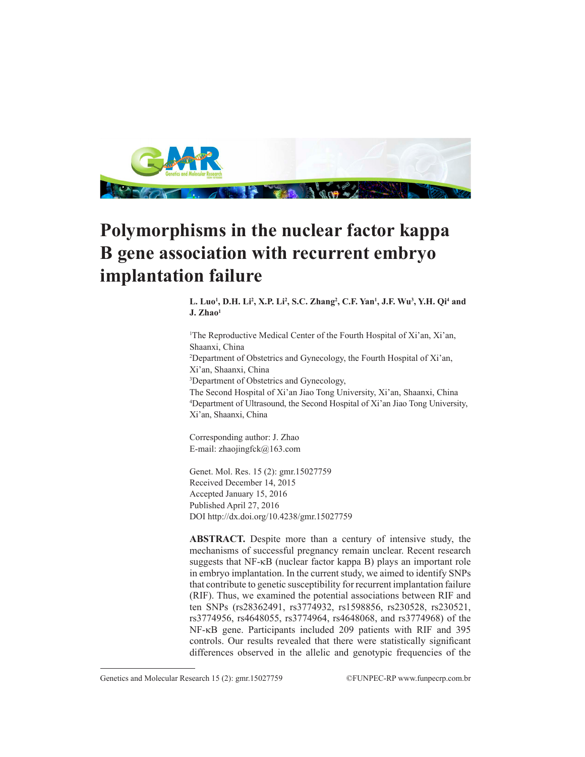

# **Polymorphisms in the nuclear factor kappa B gene association with recurrent embryo implantation failure**

L. Luo<sup>1</sup>, D.H. Li<sup>2</sup>, X.P. Li<sup>2</sup>, S.C. Zhang<sup>2</sup>, C.F. Yan<sup>1</sup>, J.F. Wu<sup>3</sup>, Y.H. Qi<sup>4</sup> and **J. Zhao1**

1 The Reproductive Medical Center of the Fourth Hospital of Xi'an, Xi'an, Shaanxi, China 2 Department of Obstetrics and Gynecology, the Fourth Hospital of Xi'an, Xi'an, Shaanxi, China 3 Department of Obstetrics and Gynecology, The Second Hospital of Xi'an Jiao Tong University, Xi'an, Shaanxi, China 4 Department of Ultrasound, the Second Hospital of Xi'an Jiao Tong University, Xi'an, Shaanxi, China

Corresponding author: J. Zhao E-mail: zhaojingfck@163.com

Genet. Mol. Res. 15 (2): gmr.15027759 Received December 14, 2015 Accepted January 15, 2016 Published April 27, 2016 DOI http://dx.doi.org/10.4238/gmr.15027759

**ABSTRACT.** Despite more than a century of intensive study, the mechanisms of successful pregnancy remain unclear. Recent research suggests that NF-κB (nuclear factor kappa B) plays an important role in embryo implantation. In the current study, we aimed to identify SNPs that contribute to genetic susceptibility for recurrent implantation failure (RIF). Thus, we examined the potential associations between RIF and ten SNPs (rs28362491, rs3774932, rs1598856, rs230528, rs230521, rs3774956, rs4648055, rs3774964, rs4648068, and rs3774968) of the NF-κB gene. Participants included 209 patients with RIF and 395 controls. Our results revealed that there were statistically significant differences observed in the allelic and genotypic frequencies of the

Genetics and Molecular Research 15 (2): gmr.15027759 ©FUNPEC-RP www.funpecrp.com.br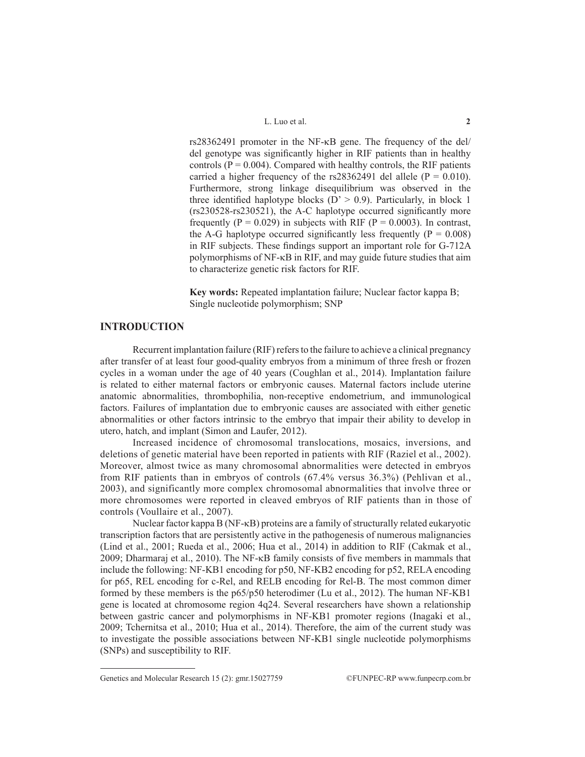rs28362491 promoter in the NF-κB gene. The frequency of the del/ del genotype was significantly higher in RIF patients than in healthy controls ( $P = 0.004$ ). Compared with healthy controls, the RIF patients carried a higher frequency of the rs28362491 del allele ( $P = 0.010$ ). Furthermore, strong linkage disequilibrium was observed in the three identified haplotype blocks ( $D' > 0.9$ ). Particularly, in block 1 (rs230528-rs230521), the A-C haplotype occurred significantly more frequently ( $P = 0.029$ ) in subjects with RIF ( $P = 0.0003$ ). In contrast, the A-G haplotype occurred significantly less frequently ( $P = 0.008$ ) in RIF subjects. These findings support an important role for G-712A polymorphisms of NF-κB in RIF, and may guide future studies that aim to characterize genetic risk factors for RIF.

**Key words:** Repeated implantation failure; Nuclear factor kappa B; Single nucleotide polymorphism; SNP

# **INTRODUCTION**

Recurrent implantation failure (RIF) refers to the failure to achieve a clinical pregnancy after transfer of at least four good-quality embryos from a minimum of three fresh or frozen cycles in a woman under the age of 40 years (Coughlan et al., 2014). Implantation failure is related to either maternal factors or embryonic causes. Maternal factors include uterine anatomic abnormalities, thrombophilia, non-receptive endometrium, and immunological factors. Failures of implantation due to embryonic causes are associated with either genetic abnormalities or other factors intrinsic to the embryo that impair their ability to develop in utero, hatch, and implant (Simon and Laufer, 2012).

Increased incidence of chromosomal translocations, mosaics, inversions, and deletions of genetic material have been reported in patients with RIF (Raziel et al., 2002). Moreover, almost twice as many chromosomal abnormalities were detected in embryos from RIF patients than in embryos of controls (67.4% versus 36.3%) (Pehlivan et al., 2003), and significantly more complex chromosomal abnormalities that involve three or more chromosomes were reported in cleaved embryos of RIF patients than in those of controls (Voullaire et al., 2007).

Nuclear factor kappa B (NF-κB) proteins are a family of structurally related eukaryotic transcription factors that are persistently active in the pathogenesis of numerous malignancies (Lind et al., 2001; Rueda et al., 2006; Hua et al., 2014) in addition to RIF (Cakmak et al., 2009; Dharmaraj et al., 2010). The NF-κB family consists of five members in mammals that include the following: NF-ΚB1 encoding for p50, NF-ΚB2 encoding for p52, RELA encoding for p65, REL encoding for c-Rel, and RELB encoding for Rel-B. The most common dimer formed by these members is the p65/p50 heterodimer (Lu et al., 2012). The human NF-ΚB1 gene is located at chromosome region 4q24. Several researchers have shown a relationship between gastric cancer and polymorphisms in NF-ΚB1 promoter regions (Inagaki et al., 2009; Tchernitsa et al., 2010; Hua et al., 2014). Therefore, the aim of the current study was to investigate the possible associations between NF-ΚB1 single nucleotide polymorphisms (SNPs) and susceptibility to RIF.

Genetics and Molecular Research 15 (2): gmr.15027759 ©FUNPEC-RP www.funpecrp.com.br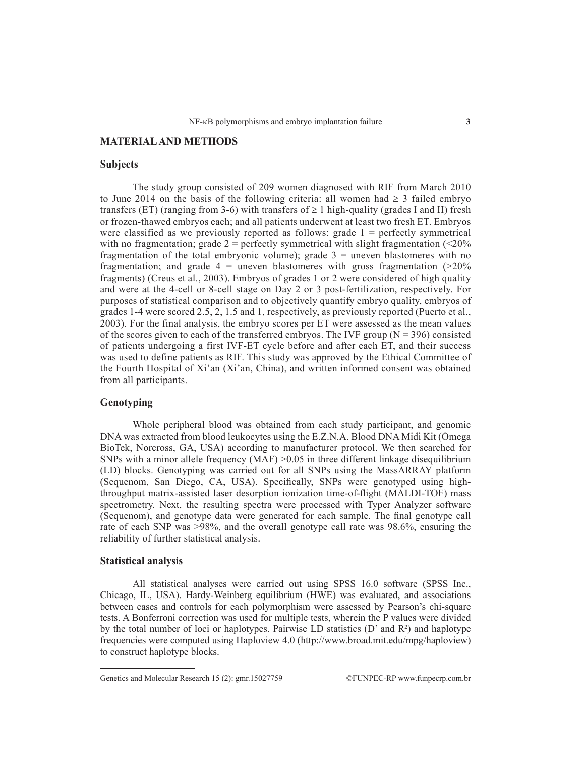# **MATERIAL AND METHODS**

#### **Subjects**

The study group consisted of 209 women diagnosed with RIF from March 2010 to June 2014 on the basis of the following criteria: all women had  $\geq 3$  failed embryo transfers (ET) (ranging from 3-6) with transfers of  $\geq 1$  high-quality (grades I and II) fresh or frozen-thawed embryos each; and all patients underwent at least two fresh ET. Embryos were classified as we previously reported as follows: grade  $1 =$  perfectly symmetrical with no fragmentation; grade  $2 =$  perfectly symmetrical with slight fragmentation ( $\leq 20\%$ ) fragmentation of the total embryonic volume); grade  $3 =$  uneven blastomeres with no fragmentation; and grade  $4 =$  uneven blastomeres with gross fragmentation ( $>20\%$ ) fragments) (Creus et al., 2003). Embryos of grades 1 or 2 were considered of high quality and were at the 4-cell or 8-cell stage on Day 2 or 3 post-fertilization, respectively. For purposes of statistical comparison and to objectively quantify embryo quality, embryos of grades 1-4 were scored 2.5, 2, 1.5 and 1, respectively, as previously reported (Puerto et al., 2003). For the final analysis, the embryo scores per ET were assessed as the mean values of the scores given to each of the transferred embryos. The IVF group ( $N = 396$ ) consisted of patients undergoing a first IVF-ET cycle before and after each ET, and their success was used to define patients as RIF. This study was approved by the Ethical Committee of the Fourth Hospital of Xi'an (Xi'an, China), and written informed consent was obtained from all participants.

### **Genotyping**

Whole peripheral blood was obtained from each study participant, and genomic DNA was extracted from blood leukocytes using the E.Z.N.A. Blood DNA Midi Kit (Omega BioTek, Norcross, GA, USA) according to manufacturer protocol. We then searched for SNPs with a minor allele frequency  $(MAF) > 0.05$  in three different linkage disequilibrium (LD) blocks. Genotyping was carried out for all SNPs using the MassARRAY platform (Sequenom, San Diego, CA, USA). Specifically, SNPs were genotyped using highthroughput matrix-assisted laser desorption ionization time-of-flight (MALDI-TOF) mass spectrometry. Next, the resulting spectra were processed with Typer Analyzer software (Sequenom), and genotype data were generated for each sample. The final genotype call rate of each SNP was >98%, and the overall genotype call rate was 98.6%, ensuring the reliability of further statistical analysis.

#### **Statistical analysis**

All statistical analyses were carried out using SPSS 16.0 software (SPSS Inc., Chicago, IL, USA). Hardy-Weinberg equilibrium (HWE) was evaluated, and associations between cases and controls for each polymorphism were assessed by Pearson's chi-square tests. A Bonferroni correction was used for multiple tests, wherein the P values were divided by the total number of loci or haplotypes. Pairwise LD statistics  $(D'$  and  $R^2)$  and haplotype frequencies were computed using Haploview 4.0 (http://www.broad.mit.edu/mpg/haploview) to construct haplotype blocks.

Genetics and Molecular Research 15 (2): gmr.15027759 ©FUNPEC-RP www.funpecrp.com.br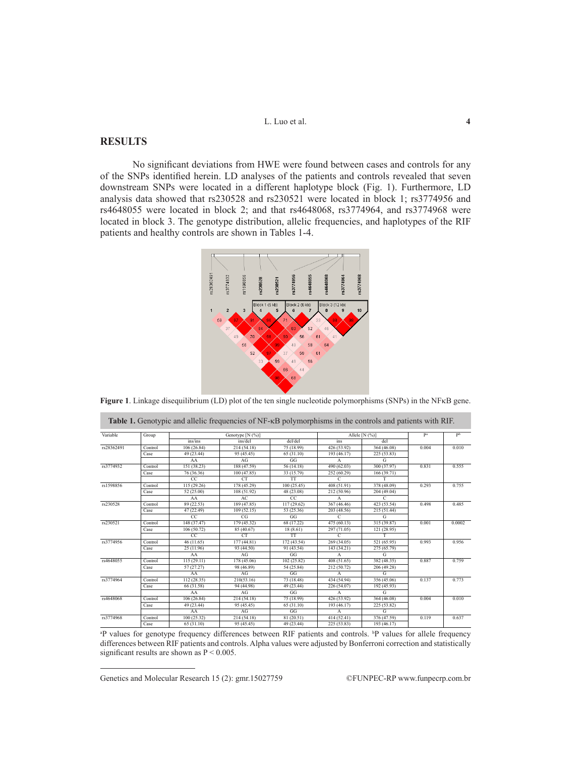L. Luo et al. **4** 

# **RESULTS**

**Contract Contract** 

No significant deviations from HWE were found between cases and controls for any of the SNPs identified herein. LD analyses of the patients and controls revealed that seven downstream SNPs were located in a different haplotype block (Fig. 1). Furthermore, LD analysis data showed that rs230528 and rs230521 were located in block 1; rs3774956 and rs4648055 were located in block 2; and that rs4648068, rs3774964, and rs3774968 were located in block 3. The genotype distribution, allelic frequencies, and haplotypes of the RIF patients and healthy controls are shown in Tables 1-4.



**Figure 1**. Linkage disequilibrium (LD) plot of the ten single nucleotide polymorphisms (SNPs) in the NFκB gene.

| Variable   | Group   | Genotype [N (%)] |             |             |               | Allele [N $(\%)$ ] |       | pb     |
|------------|---------|------------------|-------------|-------------|---------------|--------------------|-------|--------|
|            |         | ins/ins          | ins/del     | del/del     | ins           | del                |       |        |
| rs28362491 | Control | 106(26.84)       | 214(54.18)  | 75 (18.99)  | 426 (53.92)   | 364 (46.08)        | 0.004 | 0.010  |
|            | Case    | 49 (23.44)       | 95 (45.45)  | 65 (31.10)  | 193 (46.17)   | 225 (53.83)        |       |        |
|            |         | AA               | AG          | GG          | A             | G                  |       |        |
| rs3774932  | Control | 151 (38.23)      | 188 (47.59) | 56 (14.18)  | 490 (62.03)   | 300 (37.97)        | 0.831 | 0.555  |
|            | Case    | 76 (36.36)       | 100(47.85)  | 33 (15.79)  | 252 (60.29)   | 166 (39.71)        |       |        |
|            |         | CC               | CT.         | <b>TT</b>   | $\mathcal{C}$ | T                  |       |        |
| rs1598856  | Control | 115 (29.26)      | 178 (45.29) | 100 (25.45) | 408 (51.91)   | 378 (48.09)        | 0.293 | 0.755  |
|            | Case    | 52 (25.00)       | 108 (51.92) | 48 (23.08)  | 212 (50.96)   | 204 (49.04)        |       |        |
|            |         | AA               | AC          | CC          | $\mathsf{A}$  | C                  |       |        |
| rs230528   | Control | 89 (22.53)       | 189 (47.85) | 117(29.62)  | 367 (46.46)   | 423 (53.54)        | 0.498 | 0.485  |
|            | Case    | 47 (22.49)       | 109(52.15)  | 53 (25.36)  | 203 (48.56)   | 215 (51.44)        |       |        |
|            |         | CC               | CG          | GG          | C             | G                  |       |        |
| rs230521   | Control | 148 (37.47)      | 179 (45.32) | 68 (17.22)  | 475 (60.13)   | 315 (39.87)        | 0.001 | 0.0002 |
|            | Case    | 106(50.72)       | 85 (40.67)  | 18(8.61)    | 297 (71.05)   | 121 (28.95)        |       |        |
|            |         | CC               | CT.         | <b>TT</b>   | C             | т                  |       |        |
| rs3774956  | Control | 46(11.65)        | 177(44.81)  | 172 (43.54) | 269 (34.05)   | 521 (65.95)        | 0.993 | 0.956  |
|            | Case    | 25(11.96)        | 93 (44.50)  | 91 (43.54)  | 143 (34.21)   | 275 (65.79)        |       |        |
|            |         | AA               | AG          | GG          | A             | G                  |       |        |
| rs4648055  | Control | 115(29.11)       | 178 (45.06) | 102(25.82)  | 408 (51.65)   | 382 (48.35)        | 0.887 | 0.759  |
|            | Case    | 57(27.27)        | 98 (46.89)  | 54 (25.84)  | 212 (50.72)   | 206 (49.28)        |       |        |
|            |         | AA               | AG          | GG          | $\mathsf{A}$  | G                  |       |        |
| rs3774964  | Control | 112 (28.35)      | 210(53.16)  | 73 (18.48)  | 434 (54.94)   | 356 (45.06)        | 0.137 | 0.773  |
|            | Case    | 66 (31.58)       | 94 (44.98)  | 49 (23.44)  | 226 (54.07)   | 192 (45.93)        |       |        |
|            |         | AA               | AG          | GG          | A             | G                  |       |        |
| rs4648068  | Control | 106(26.84)       | 214(54.18)  | 75 (18.99)  | 426 (53.92)   | 364 (46.08)        | 0.004 | 0.010  |
|            | Case    | 49 (23.44)       | 95 (45.45)  | 65 (31.10)  | 193 (46.17)   | 225 (53.82)        |       |        |
|            |         | AA               | AG          | GG          | $\mathbf{A}$  | G                  |       |        |
| rs3774968  | Control | 100 (25.32)      | 214(54.18)  | 81 (20.51)  | 414 (52.41)   | 376 (47.59)        | 0.119 | 0.637  |
|            | Case    | 65(31.10)        | 95 (45.45)  | 49 (23.44)  | 225 (53.83)   | 193 (46.17)        |       |        |

| <sup>a</sup> P values for genotype frequency differences between RIF patients and controls. <sup>b</sup> P values for allele frequency |  |
|----------------------------------------------------------------------------------------------------------------------------------------|--|
| differences between RIF patients and controls. Alpha values were adjusted by Bonferroni correction and statistically                   |  |
| significant results are shown as $P \le 0.005$ .                                                                                       |  |

Genetics and Molecular Research 15 (2): gmr.15027759 ©FUNPEC-RP www.funpecrp.com.br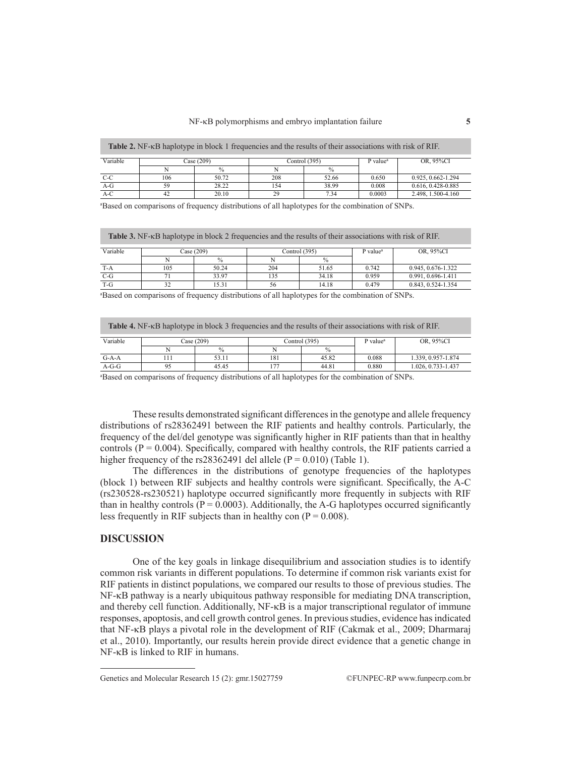| <b>Table 2.</b> NF- <sub>K</sub> B haplotype in block 1 frequencies and the results of their associations with risk of RIF. |            |               |     |                 |                      |                    |  |  |
|-----------------------------------------------------------------------------------------------------------------------------|------------|---------------|-----|-----------------|----------------------|--------------------|--|--|
| Variable                                                                                                                    | Case (209) |               |     | Control $(395)$ | P value <sup>a</sup> | OR. 95%CI          |  |  |
|                                                                                                                             |            | $\frac{0}{0}$ |     | $\frac{0}{0}$   |                      |                    |  |  |
| C-C                                                                                                                         | 106        | 50.72         | 208 | 52.66           | 0.650                | 0.925, 0.662-1.294 |  |  |
| $A-G$                                                                                                                       | 59         | 28.22         | 154 | 38.99           | 0.008                | 0.616, 0.428-0.885 |  |  |
| $A-C$                                                                                                                       |            | 20.10         | 29  | 7.34            | 0.0003               | 2.498.1.500-4.160  |  |  |

a Based on comparisons of frequency distributions of all haplotypes for the combination of SNPs.

**Table 3.** NF-κB haplotype in block 2 frequencies and the results of their associations with risk of RIF.

| Variable | Case (209) |               |     | Control $(395)$ | $P$ value <sup><math>a</math></sup> | OR. 95%CI          |
|----------|------------|---------------|-----|-----------------|-------------------------------------|--------------------|
|          |            | $\frac{0}{0}$ |     | $\frac{0}{0}$   |                                     |                    |
| $T-A$    | 105        | 50.24         | 204 | 51.65           | 0.742                               | 0.945, 0.676-1.322 |
| $C-G$    |            | 33.97         | 135 | 34.18           | 0.959                               | 0.991.0.696-1.411  |
| $T-G$    | - -        | 15.31         | эb  | 14.18           | 0.479                               | 0.843, 0.524-1.354 |

a Based on comparisons of frequency distributions of all haplotypes for the combination of SNPs.

| <b>Table 4.</b> NF- <sub>K</sub> B haplotype in block 3 frequencies and the results of their associations with risk of RIF. |            |               |     |                 |                      |                    |  |  |
|-----------------------------------------------------------------------------------------------------------------------------|------------|---------------|-----|-----------------|----------------------|--------------------|--|--|
| Variable                                                                                                                    | Case (209) |               |     | Control $(395)$ | P value <sup>a</sup> | OR. 95%CI          |  |  |
|                                                                                                                             |            | $\frac{0}{0}$ |     | $\frac{0}{0}$   |                      |                    |  |  |
| $G-A-A$                                                                                                                     |            | 53.11         | 181 | 45.82           | 0.088                | 1.339, 0.957-1.874 |  |  |
| $A-G-G$                                                                                                                     |            | 4545          |     | 44.81           | 0.880                | 1.026.0.733-1.437  |  |  |

a Based on comparisons of frequency distributions of all haplotypes for the combination of SNPs.

These results demonstrated significant differences in the genotype and allele frequency distributions of rs28362491 between the RIF patients and healthy controls. Particularly, the frequency of the del/del genotype was significantly higher in RIF patients than that in healthy controls  $(P = 0.004)$ . Specifically, compared with healthy controls, the RIF patients carried a higher frequency of the rs28362491 del allele ( $P = 0.010$ ) (Table 1).

The differences in the distributions of genotype frequencies of the haplotypes (block 1) between RIF subjects and healthy controls were significant. Specifically, the A-C (rs230528-rs230521) haplotype occurred significantly more frequently in subjects with RIF than in healthy controls  $(P = 0.0003)$ . Additionally, the A-G haplotypes occurred significantly less frequently in RIF subjects than in healthy con  $(P = 0.008)$ .

## **DISCUSSION**

One of the key goals in linkage disequilibrium and association studies is to identify common risk variants in different populations. To determine if common risk variants exist for RIF patients in distinct populations, we compared our results to those of previous studies. The NF-κB pathway is a nearly ubiquitous pathway responsible for mediating DNA transcription, and thereby cell function. Additionally, NF-κB is a major transcriptional regulator of immune responses, apoptosis, and cell growth control genes. In previous studies, evidence has indicated that NF-κB plays a pivotal role in the development of RIF (Cakmak et al., 2009; Dharmaraj et al., 2010). Importantly, our results herein provide direct evidence that a genetic change in NF-κB is linked to RIF in humans.

Genetics and Molecular Research 15 (2): gmr.15027759 ©FUNPEC-RP www.funpecrp.com.br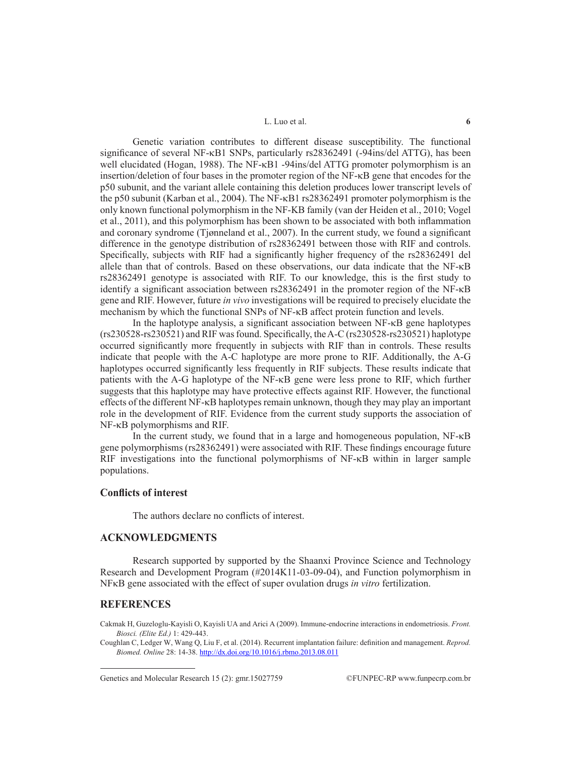#### L. Luo et al. **6**

Genetic variation contributes to different disease susceptibility. The functional significance of several NF-κB1 SNPs, particularly rs28362491 (-94ins/del ATTG), has been well elucidated (Hogan, 1988). The NF-κB1 -94ins/del ATTG promoter polymorphism is an insertion/deletion of four bases in the promoter region of the NF-κB gene that encodes for the p50 subunit, and the variant allele containing this deletion produces lower transcript levels of the p50 subunit (Karban et al., 2004). The NF-κB1 rs28362491 promoter polymorphism is the only known functional polymorphism in the NF-ΚB family (van der Heiden et al., 2010; Vogel et al., 2011), and this polymorphism has been shown to be associated with both inflammation and coronary syndrome (Tjønneland et al., 2007). In the current study, we found a significant difference in the genotype distribution of rs28362491 between those with RIF and controls. Specifically, subjects with RIF had a significantly higher frequency of the rs28362491 del allele than that of controls. Based on these observations, our data indicate that the NF-κB rs28362491 genotype is associated with RIF. To our knowledge, this is the first study to identify a significant association between rs28362491 in the promoter region of the NF-κB gene and RIF. However, future *in vivo* investigations will be required to precisely elucidate the mechanism by which the functional SNPs of NF-κB affect protein function and levels.

In the haplotype analysis, a significant association between NF-κB gene haplotypes (rs230528-rs230521) and RIF was found. Specifically, the A-C (rs230528-rs230521) haplotype occurred significantly more frequently in subjects with RIF than in controls. These results indicate that people with the A-C haplotype are more prone to RIF. Additionally, the A-G haplotypes occurred significantly less frequently in RIF subjects. These results indicate that patients with the A-G haplotype of the NF-κB gene were less prone to RIF, which further suggests that this haplotype may have protective effects against RIF. However, the functional effects of the different NF-κB haplotypes remain unknown, though they may play an important role in the development of RIF. Evidence from the current study supports the association of NF-κB polymorphisms and RIF.

In the current study, we found that in a large and homogeneous population, NF-κB gene polymorphisms (rs28362491) were associated with RIF. These findings encourage future RIF investigations into the functional polymorphisms of NF-κB within in larger sample populations.

#### **Conflicts of interest**

The authors declare no conflicts of interest.

# **ACKNOWLEDGMENTS**

Research supported by supported by the Shaanxi Province Science and Technology Research and Development Program (#2014K11-03-09-04), and Function polymorphism in NFκB gene associated with the effect of super ovulation drugs *in vitro* fertilization.

#### **REFERENCES**

Cakmak H, Guzeloglu-Kayisli O, Kayisli UA and Arici A (2009). Immune-endocrine interactions in endometriosis. *Front. Biosci. (Elite Ed.)* 1: 429-443.

Coughlan C, Ledger W, Wang Q, Liu F, et al. (2014). Recurrent implantation failure: definition and management. *Reprod. Biomed. Online* 28: 14-38. http://dx.doi.org/10.1016/j.rbmo.2013.08.011

Genetics and Molecular Research 15 (2):  $gmr.15027759$  ©FUNPEC-RP www.funpecrp.com.br